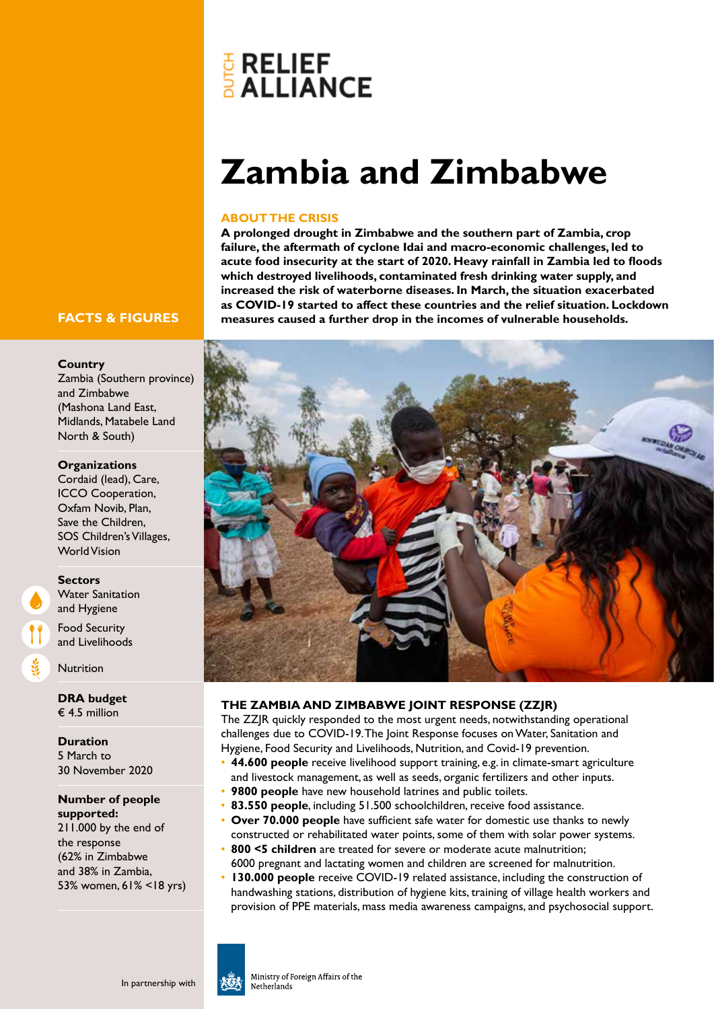# **E** RELIEF<br>**ALLIANCE**

## **Zambia and Zimbabwe**

#### **ABOUT THE CRISIS**

**A prolonged drought in Zimbabwe and the southern part of Zambia, crop failure, the aftermath of cyclone Idai and macro-economic challenges, led to acute food insecurity at the start of 2020. Heavy rainfall in Zambia led to floods which destroyed livelihoods, contaminated fresh drinking water supply, and increased the risk of waterborne diseases. In March, the situation exacerbated as COVID-19 started to affect these countries and the relief situation. Lockdown measures caused a further drop in the incomes of vulnerable households.**

### **FACTS & FIGURES**

#### **Country**

Zambia (Southern province) and Zimbabwe (Mashona Land East, Midlands, Matabele Land North & South)

#### **Organizations**

Cordaid (lead), Care, ICCO Cooperation, Oxfam Novib, Plan, Save the Children, SOS Children's Villages, World Vision

#### **Sectors**

Water Sanitation and Hygiene Food Security

and Livelihoods

**Nutrition** 

**DRA budget** € 4.5 million

**Duration** 5 March to 30 November 2020

**Number of people supported:**  211.000 by the end of the response (62% in Zimbabwe and 38% in Zambia, 53% women, 61% <18 yrs)



#### **THE ZAMBIA AND ZIMBABWE JOINT RESPONSE (ZZJR)**

The ZZJR quickly responded to the most urgent needs, notwithstanding operational challenges due to COVID-19. The Joint Response focuses on Water, Sanitation and Hygiene, Food Security and Livelihoods, Nutrition, and Covid-19 prevention.

- **44.600 people** receive livelihood support training, e.g. in climate-smart agriculture and livestock management, as well as seeds, organic fertilizers and other inputs.
- **9800 people** have new household latrines and public toilets.
- **83.550 people**, including 51.500 schoolchildren, receive food assistance.
- **Over 70.000 people** have sufficient safe water for domestic use thanks to newly constructed or rehabilitated water points, some of them with solar power systems.
- **800 <5 children** are treated for severe or moderate acute malnutrition;
- 6000 pregnant and lactating women and children are screened for malnutrition.
- **130.000 people** receive COVID-19 related assistance, including the construction of handwashing stations, distribution of hygiene kits, training of village health workers and provision of PPE materials, mass media awareness campaigns, and psychosocial support.